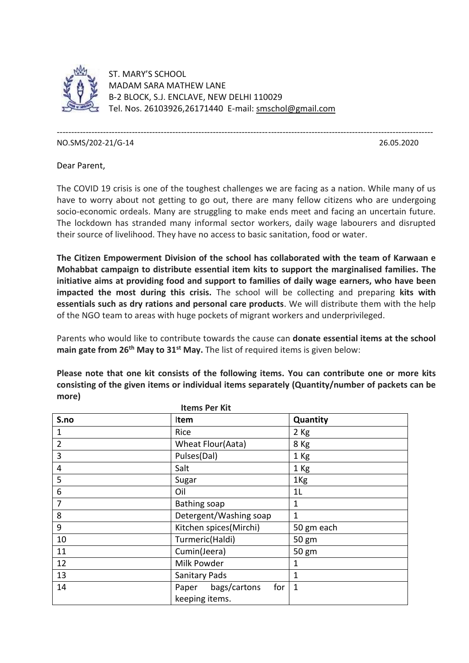

ST. MARY'S SCHOOL MADAM SARA MATHEW LANE B-2 BLOCK, S.J. ENCLAVE, NEW DELHI 110029 Tel. Nos. 26103926,26171440 E-mail: [smschol@gmail.com](mailto:smschol@gmail.com)

---------------------------------------------------------------------------------------------------------------------------------- NO.SMS/202-21/G-14 26.05.2020

Dear Parent,

The COVID 19 crisis is one of the toughest challenges we are facing as a nation. While many of us have to worry about not getting to go out, there are many fellow citizens who are undergoing socio-economic ordeals. Many are struggling to make ends meet and facing an uncertain future. The lockdown has stranded many informal sector workers, daily wage labourers and disrupted their source of livelihood. They have no access to basic sanitation, food or water.

**The Citizen Empowerment Division of the school has collaborated with the team of Karwaan e Mohabbat campaign to distribute essential item kits to support the marginalised families. The initiative aims at providing food and support to families of daily wage earners, who have been impacted the most during this crisis.** The school will be collecting and preparing **kits with essentials such as dry rations and personal care products**. We will distribute them with the help of the NGO team to areas with huge pockets of migrant workers and underprivileged.

Parents who would like to contribute towards the cause can **donate essential items at the school main gate from 26th May to 31st May.** The list of required items is given below:

**Please note that one kit consists of the following items. You can contribute one or more kits consisting of the given items or individual items separately (Quantity/number of packets can be more)**

| <b>Items Per Kit</b> |                                                |                 |
|----------------------|------------------------------------------------|-----------------|
| S.no                 | Item                                           | Quantity        |
| $\mathbf 1$          | Rice                                           | $2$ Kg          |
| $\overline{2}$       | Wheat Flour(Aata)                              | 8 Kg            |
| 3                    | Pulses(Dal)                                    | 1 Kg            |
| 4                    | Salt                                           | 1 Kg            |
| 5                    | Sugar                                          | 1 <sub>Kg</sub> |
| 6                    | Oil                                            | 1 <sub>L</sub>  |
| 7                    | Bathing soap                                   | 1               |
| 8                    | Detergent/Washing soap                         | 1               |
| 9                    | Kitchen spices(Mirchi)                         | 50 gm each      |
| 10                   | Turmeric(Haldi)                                | 50 gm           |
| 11                   | Cumin(Jeera)                                   | 50 gm           |
| 12                   | Milk Powder                                    | 1               |
| 13                   | <b>Sanitary Pads</b>                           | 1               |
| 14                   | bags/cartons<br>for<br>Paper<br>keeping items. | $\mathbf{1}$    |